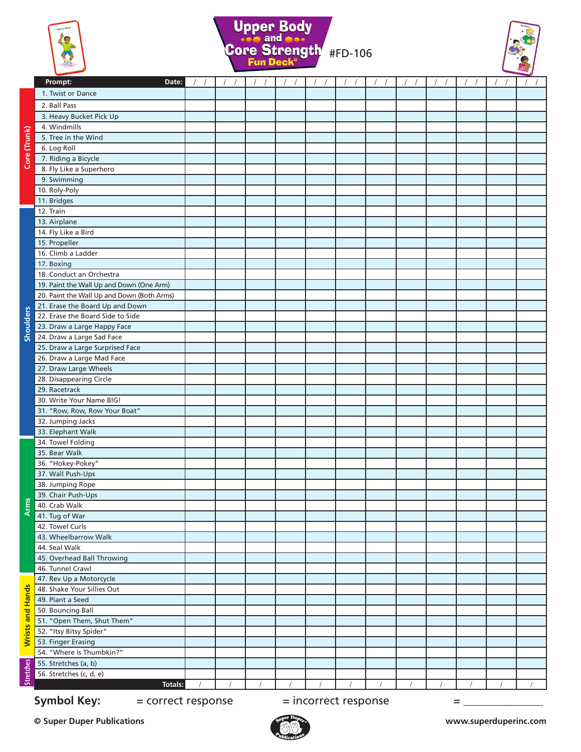





|                  | Prompt:<br>Date:                               | $\left  \quad \right $ | $\left  \quad \right $ | $\left  \quad \right $ | $\left  \quad \right $ | $\left  \right $ |  | $\frac{1}{2}$ |
|------------------|------------------------------------------------|------------------------|------------------------|------------------------|------------------------|------------------|--|---------------|
|                  | 1. Twist or Dance                              |                        |                        |                        |                        |                  |  |               |
|                  | 2. Ball Pass                                   |                        |                        |                        |                        |                  |  |               |
|                  |                                                |                        |                        |                        |                        |                  |  |               |
|                  | 3. Heavy Bucket Pick Up                        |                        |                        |                        |                        |                  |  |               |
|                  | 4. Windmills                                   |                        |                        |                        |                        |                  |  |               |
| Core (Trunk)     | 5. Tree in the Wind                            |                        |                        |                        |                        |                  |  |               |
|                  | 6. Log Roll                                    |                        |                        |                        |                        |                  |  |               |
|                  | 7. Riding a Bicycle<br>8. Fly Like a Superhero |                        |                        |                        |                        |                  |  |               |
|                  | 9. Swimming                                    |                        |                        |                        |                        |                  |  |               |
|                  | 10. Roly-Poly                                  |                        |                        |                        |                        |                  |  |               |
|                  |                                                |                        |                        |                        |                        |                  |  |               |
|                  | 11. Bridges<br>12. Train                       |                        |                        |                        |                        |                  |  |               |
|                  | 13. Airplane                                   |                        |                        |                        |                        |                  |  |               |
|                  | 14. Fly Like a Bird                            |                        |                        |                        |                        |                  |  |               |
|                  | 15. Propeller                                  |                        |                        |                        |                        |                  |  |               |
|                  | 16. Climb a Ladder                             |                        |                        |                        |                        |                  |  |               |
|                  | 17. Boxing                                     |                        |                        |                        |                        |                  |  |               |
|                  | 18. Conduct an Orchestra                       |                        |                        |                        |                        |                  |  |               |
|                  | 19. Paint the Wall Up and Down (One Arm)       |                        |                        |                        |                        |                  |  |               |
|                  | 20. Paint the Wall Up and Down (Both Arms)     |                        |                        |                        |                        |                  |  |               |
|                  | 21. Erase the Board Up and Down                |                        |                        |                        |                        |                  |  |               |
| <b>Shoulders</b> | 22. Erase the Board Side to Side               |                        |                        |                        |                        |                  |  |               |
|                  | 23. Draw a Large Happy Face                    |                        |                        |                        |                        |                  |  |               |
|                  | 24. Draw a Large Sad Face                      |                        |                        |                        |                        |                  |  |               |
|                  | 25. Draw a Large Surprised Face                |                        |                        |                        |                        |                  |  |               |
|                  | 26. Draw a Large Mad Face                      |                        |                        |                        |                        |                  |  |               |
|                  | 27. Draw Large Wheels                          |                        |                        |                        |                        |                  |  |               |
|                  | 28. Disappearing Circle                        |                        |                        |                        |                        |                  |  |               |
|                  | 29. Racetrack                                  |                        |                        |                        |                        |                  |  |               |
|                  | 30. Write Your Name BIG!                       |                        |                        |                        |                        |                  |  |               |
|                  | 31. "Row, Row, Row Your Boat"                  |                        |                        |                        |                        |                  |  |               |
|                  | 32. Jumping Jacks                              |                        |                        |                        |                        |                  |  |               |
|                  | 33. Elephant Walk                              |                        |                        |                        |                        |                  |  |               |
|                  | 34. Towel Folding                              |                        |                        |                        |                        |                  |  |               |
|                  | 35. Bear Walk                                  |                        |                        |                        |                        |                  |  |               |
| $A$ rm           | 36. "Hokey-Pokey"                              |                        |                        |                        |                        |                  |  |               |
|                  | 37. Wall Push-Ups                              |                        |                        |                        |                        |                  |  |               |
|                  | 38. Jumping Rope                               |                        |                        |                        |                        |                  |  |               |
|                  | 39. Chair Push-Ups                             |                        |                        |                        |                        |                  |  |               |
|                  | 40. Crab Walk                                  |                        |                        |                        |                        |                  |  |               |
|                  | 41. Tug of War                                 |                        |                        |                        |                        |                  |  |               |
|                  | 42. Towel Curls                                |                        |                        |                        |                        |                  |  |               |
|                  | 43. Wheelbarrow Walk                           |                        |                        |                        |                        |                  |  |               |
|                  | 44. Seal Walk                                  |                        |                        |                        |                        |                  |  |               |
|                  | 45. Overhead Ball Throwing                     |                        |                        |                        |                        |                  |  |               |
|                  | 46. Tunnel Crawl                               |                        |                        |                        |                        |                  |  |               |
| Wrists and Hands | 47. Rev Up a Motorcycle                        |                        |                        |                        |                        |                  |  |               |
|                  | 48. Shake Your Sillies Out                     |                        |                        |                        |                        |                  |  |               |
|                  | 49. Plant a Seed                               |                        |                        |                        |                        |                  |  |               |
|                  | 50. Bouncing Ball                              |                        |                        |                        |                        |                  |  |               |
|                  | 51. "Open Them, Shut Them"                     |                        |                        |                        |                        |                  |  |               |
|                  | 52. "Itsy Bitsy Spider"                        |                        |                        |                        |                        |                  |  |               |
|                  | 53. Finger Erasing                             |                        |                        |                        |                        |                  |  |               |
|                  | 54. "Where is Thumbkin?"                       |                        |                        |                        |                        |                  |  |               |
| <b>Stretches</b> | 55. Stretches (a, b)                           |                        |                        |                        |                        |                  |  |               |
|                  | 56. Stretches (c, d, e)                        |                        |                        |                        |                        |                  |  |               |
|                  | Totals:                                        |                        |                        |                        |                        |                  |  |               |

**Symbol Key:**  $=$  correct response  $=$  incorrect response  $=$